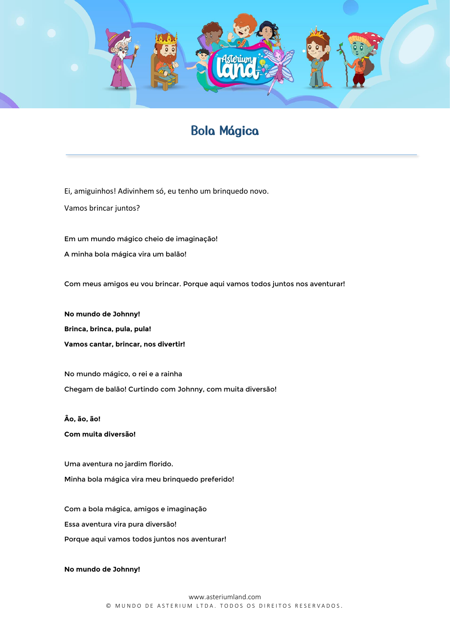

## Bola Mágica

Ei, amiguinhos! Adivinhem só, eu tenho um brinquedo novo.

Vamos brincar juntos?

Em um mundo mágico cheio de imaginação! A minha bola mágica vira um balão!

Com meus amigos eu vou brincar. Porque aqui vamos todos juntos nos aventurar!

**No mundo de Johnny! Brinca, brinca, pula, pula! Vamos cantar, brincar, nos divertir!** 

No mundo mágico, o rei e a rainha Chegam de balão! Curtindo com Johnny, com muita diversão!

**Âo, ão, ão! Com muita diversão!**

Uma aventura no jardim florido. Minha bola mágica vira meu brinquedo preferido!

Com a bola mágica, amigos e imaginação Essa aventura vira pura diversão! Porque aqui vamos todos juntos nos aventurar!

**No mundo de Johnny!**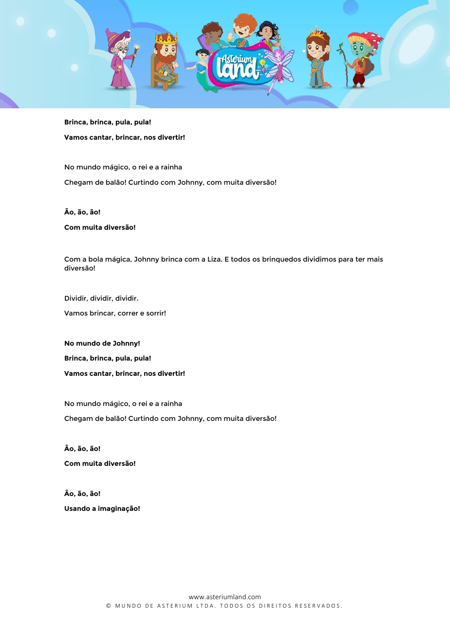

**Brinca, brinca, pula, pula! Vamos cantar, brincar, nos divertir!** 

No mundo mágico, o rei e a rainha Chegam de balão! Curtindo com Johnny, com muita diversão!

**Âo, ão, ão!** 

**Com muita diversão!**

Com a bola mágica, Johnny brinca com a Liza. E todos os brinquedos dividimos para ter mais diversão!

Dividir, dividir, dividir.

Vamos brincar, correr e sorrir!

**No mundo de Johnny! Brinca, brinca, pula, pula! Vamos cantar, brincar, nos divertir!** 

No mundo mágico, o rei e a rainha Chegam de balão! Curtindo com Johnny, com muita diversão!

**Âo, ão, ão! Com muita diversão!**

**Âo, ão, ão! Usando a imaginação!**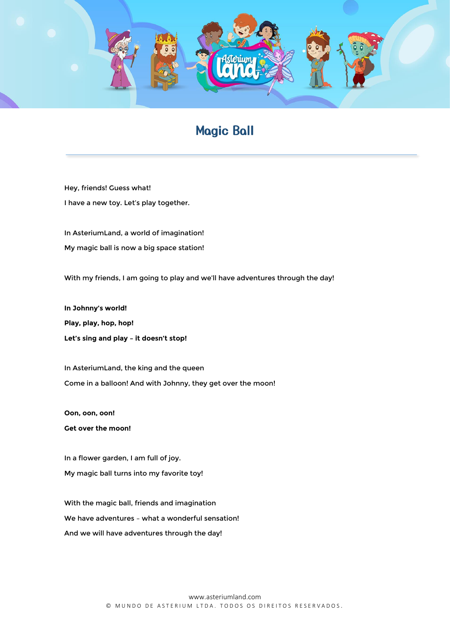

## Magic Ball

Hey, friends! Guess what! I have a new toy. Let's play together.

In AsteriumLand, a world of imagination! My magic ball is now a big space station!

With my friends, I am going to play and we'll have adventures through the day!

**In Johnny's world! Play, play, hop, hop! Let's sing and play – it doesn't stop!** 

In AsteriumLand, the king and the queen Come in a balloon! And with Johnny, they get over the moon!

**Oon, oon, oon! Get over the moon!**

In a flower garden, I am full of joy. My magic ball turns into my favorite toy!

With the magic ball, friends and imagination We have adventures – what a wonderful sensation! And we will have adventures through the day!